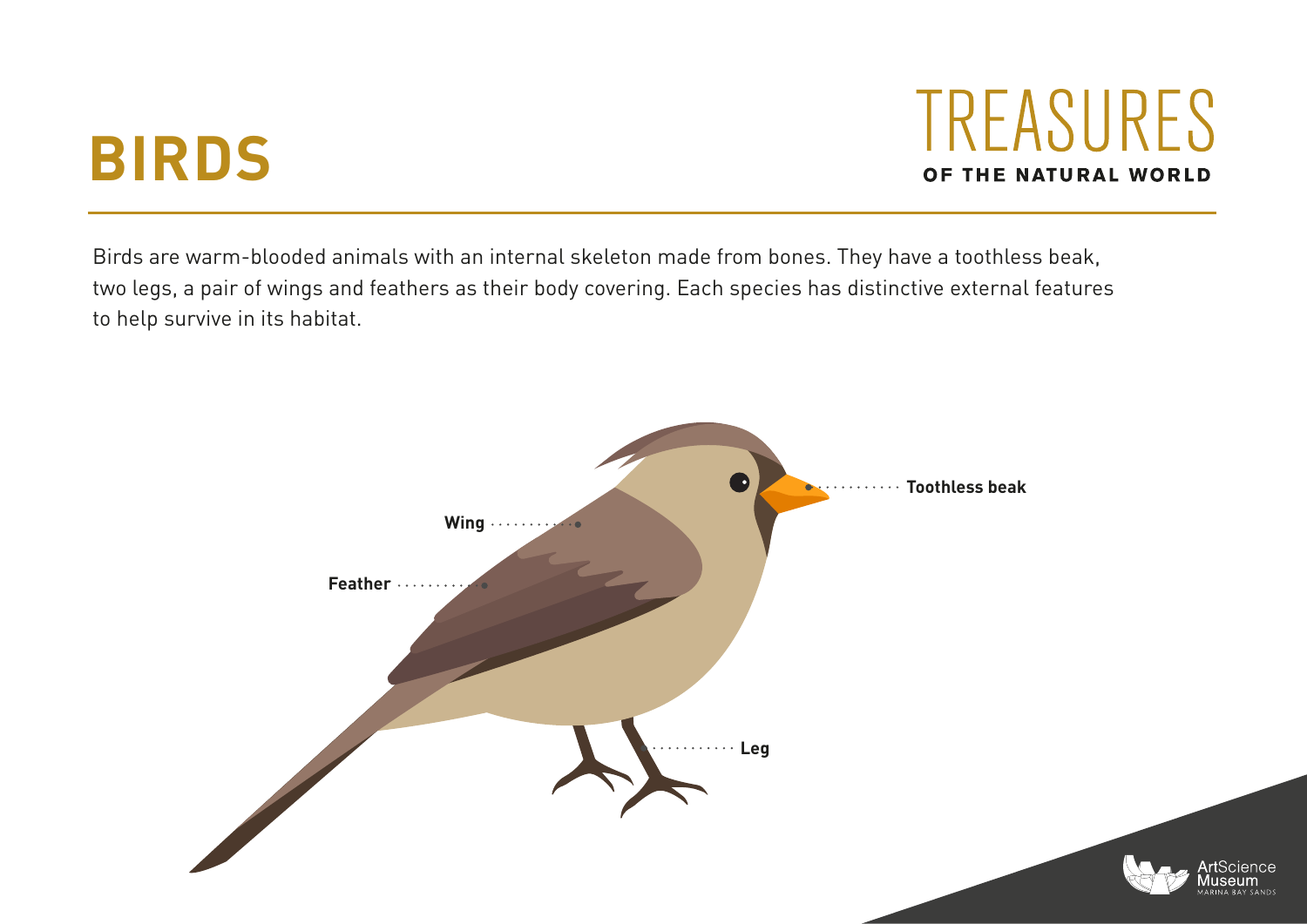## **BIRDS**

TREASURES OF THE NATURAL WORLD

Birds are warm-blooded animals with an internal skeleton made from bones. They have a toothless beak, two legs, a pair of wings and feathers as their body covering. Each species has distinctive external features to help survive in its habitat.